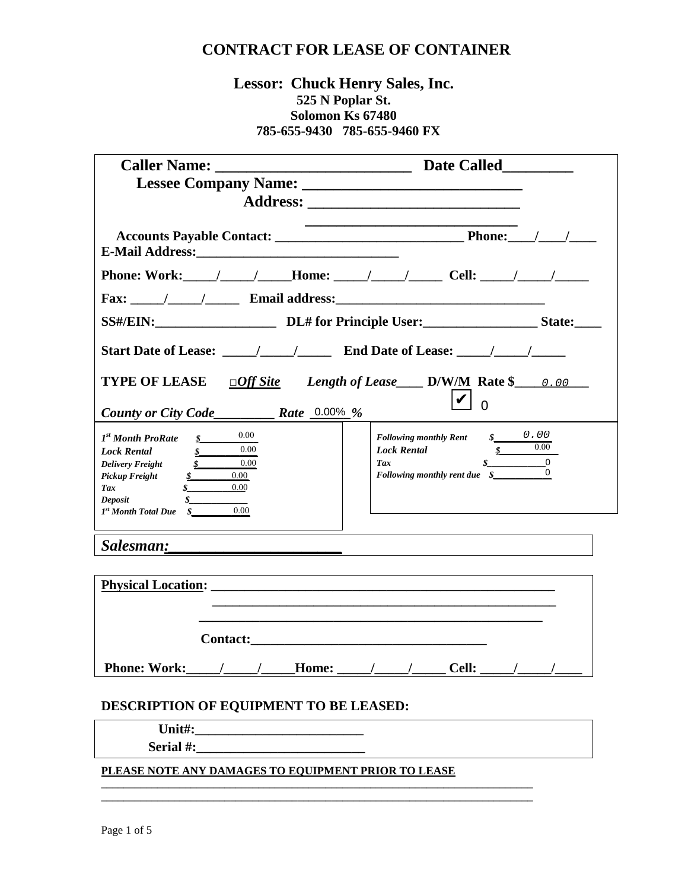### **Lessor: Chuck Henry Sales, Inc. 525 N Poplar St. Solomon Ks 67480 785-655-9430 785-655-9460 FX**

| Fax: $\frac{1}{\frac{1}{2} \cdot \frac{1}{2} \cdot \frac{1}{2} \cdot \frac{1}{2} \cdot \frac{1}{2} \cdot \frac{1}{2} \cdot \frac{1}{2} \cdot \frac{1}{2} \cdot \frac{1}{2} \cdot \frac{1}{2} \cdot \frac{1}{2} \cdot \frac{1}{2} \cdot \frac{1}{2} \cdot \frac{1}{2} \cdot \frac{1}{2} \cdot \frac{1}{2} \cdot \frac{1}{2} \cdot \frac{1}{2} \cdot \frac{1}{2} \cdot \frac{1}{2} \cdot \frac{1}{2} \cdot \frac{1}{2} \cdot \frac{1}{2} \cdot \frac{$ |                                                                                                                   |
|------------------------------------------------------------------------------------------------------------------------------------------------------------------------------------------------------------------------------------------------------------------------------------------------------------------------------------------------------------------------------------------------------------------------------------------------------|-------------------------------------------------------------------------------------------------------------------|
|                                                                                                                                                                                                                                                                                                                                                                                                                                                      | SS#/EIN: DL# for Principle User: State: State:                                                                    |
|                                                                                                                                                                                                                                                                                                                                                                                                                                                      |                                                                                                                   |
| <b>TYPE OF LEASE</b>                                                                                                                                                                                                                                                                                                                                                                                                                                 | $\Box$ Off Site Length of Lease ______ D/W/M Rate \$_______ 0.00                                                  |
|                                                                                                                                                                                                                                                                                                                                                                                                                                                      | $ \boldsymbol{v} $                                                                                                |
| 0.00<br>1 <sup>st</sup> Month ProRate<br>$\boldsymbol{s}$<br>$\overline{0.00}$<br>$\boldsymbol{s}$<br><b>Lock Rental</b><br>$\frac{\sqrt{2}}{2}$ 0.00<br><b>Delivery Freight</b><br>$\frac{s}{s}$<br>$0.00\,$<br>Pickup Freight<br>0.00<br>Tax<br>Deposit<br>0.00<br>$Ist$ Month Total Due $\$$                                                                                                                                                      | \$0.00<br><b>Following monthly Rent</b><br>$\frac{\text{g}}{2}$ 0.00<br><b>Lock Rental</b><br>$\sqrt{s}$ 0<br>Tax |
|                                                                                                                                                                                                                                                                                                                                                                                                                                                      |                                                                                                                   |
|                                                                                                                                                                                                                                                                                                                                                                                                                                                      |                                                                                                                   |
|                                                                                                                                                                                                                                                                                                                                                                                                                                                      |                                                                                                                   |
|                                                                                                                                                                                                                                                                                                                                                                                                                                                      |                                                                                                                   |
|                                                                                                                                                                                                                                                                                                                                                                                                                                                      |                                                                                                                   |
| DESCRIPTION OF EQUIPMENT TO BE LEASED:                                                                                                                                                                                                                                                                                                                                                                                                               |                                                                                                                   |
|                                                                                                                                                                                                                                                                                                                                                                                                                                                      |                                                                                                                   |
|                                                                                                                                                                                                                                                                                                                                                                                                                                                      |                                                                                                                   |
| PLEASE NOTE ANY DAMAGES TO EQUIPMENT PRIOR TO LEASE                                                                                                                                                                                                                                                                                                                                                                                                  |                                                                                                                   |

\_\_\_\_\_\_\_\_\_\_\_\_\_\_\_\_\_\_\_\_\_\_\_\_\_\_\_\_\_\_\_\_\_\_\_\_\_\_\_\_\_\_\_\_\_\_\_\_\_\_\_\_\_\_\_\_\_\_\_\_\_\_\_\_\_\_\_\_\_\_\_\_\_\_\_\_\_ \_\_\_\_\_\_\_\_\_\_\_\_\_\_\_\_\_\_\_\_\_\_\_\_\_\_\_\_\_\_\_\_\_\_\_\_\_\_\_\_\_\_\_\_\_\_\_\_\_\_\_\_\_\_\_\_\_\_\_\_\_\_\_\_\_\_\_\_\_\_\_\_\_\_\_\_\_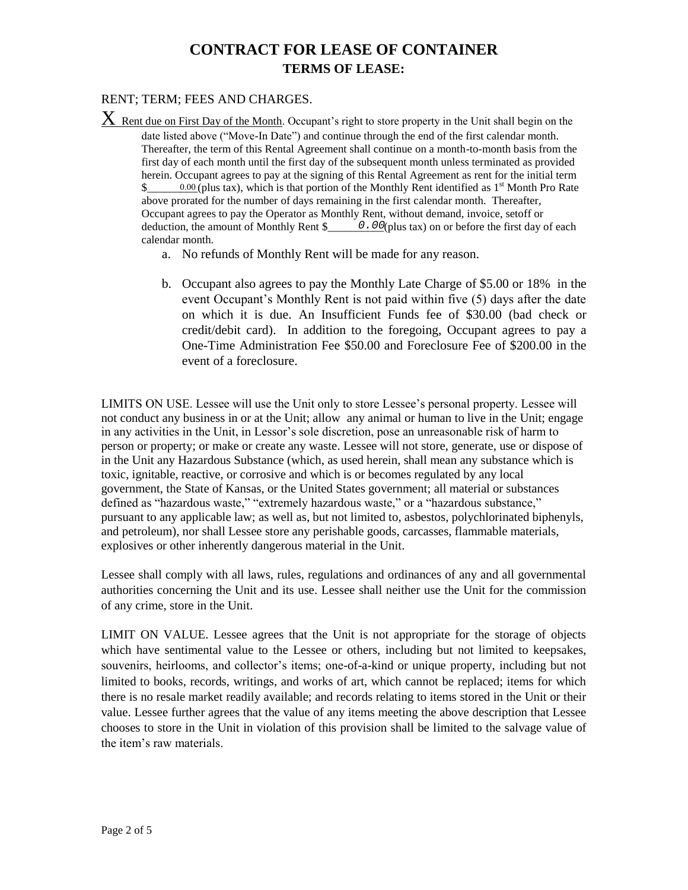# **CONTRACT FOR LEASE OF CONTAINER TERMS OF LEASE:**

#### RENT; TERM; FEES AND CHARGES.

 $X$  Rent due on First Day of the Month. Occupant's right to store property in the Unit shall begin on the date listed above ("Move-In Date") and continue through the end of the first calendar month. Thereafter, the term of this Rental Agreement shall continue on a month-to-month basis from the first day of each month until the first day of the subsequent month unless terminated as provided herein. Occupant agrees to pay at the signing of this Rental Agreement as rent for the initial term  $\frac{\sqrt{6}}{2}$  0.00 (plus tax), which is that portion of the Monthly Rent identified as 1<sup>st</sup> Month Pro Rate above prorated for the number of days remaining in the first calendar month. Thereafter, Occupant agrees to pay the Operator as Monthly Rent, without demand, invoice, setoff or deduction, the amount of Monthly Rent  $\frac{\partial .00}{\partial x}$  (plus tax) on or before the first day of each calendar month.

- a. No refunds of Monthly Rent will be made for any reason.
- b. Occupant also agrees to pay the Monthly Late Charge of \$5.00 or 18% in the event Occupant's Monthly Rent is not paid within five (5) days after the date on which it is due. An Insufficient Funds fee of \$30.00 (bad check or credit/debit card). In addition to the foregoing, Occupant agrees to pay a One-Time Administration Fee \$50.00 and Foreclosure Fee of \$200.00 in the event of a foreclosure.

LIMITS ON USE. Lessee will use the Unit only to store Lessee's personal property. Lessee will not conduct any business in or at the Unit; allow any animal or human to live in the Unit; engage in any activities in the Unit, in Lessor's sole discretion, pose an unreasonable risk of harm to person or property; or make or create any waste. Lessee will not store, generate, use or dispose of in the Unit any Hazardous Substance (which, as used herein, shall mean any substance which is toxic, ignitable, reactive, or corrosive and which is or becomes regulated by any local government, the State of Kansas, or the United States government; all material or substances defined as "hazardous waste," "extremely hazardous waste," or a "hazardous substance," pursuant to any applicable law; as well as, but not limited to, asbestos, polychlorinated biphenyls, and petroleum), nor shall Lessee store any perishable goods, carcasses, flammable materials, explosives or other inherently dangerous material in the Unit.

Lessee shall comply with all laws, rules, regulations and ordinances of any and all governmental authorities concerning the Unit and its use. Lessee shall neither use the Unit for the commission of any crime, store in the Unit.

LIMIT ON VALUE. Lessee agrees that the Unit is not appropriate for the storage of objects which have sentimental value to the Lessee or others, including but not limited to keepsakes, souvenirs, heirlooms, and collector's items; one-of-a-kind or unique property, including but not limited to books, records, writings, and works of art, which cannot be replaced; items for which there is no resale market readily available; and records relating to items stored in the Unit or their value. Lessee further agrees that the value of any items meeting the above description that Lessee chooses to store in the Unit in violation of this provision shall be limited to the salvage value of the item's raw materials.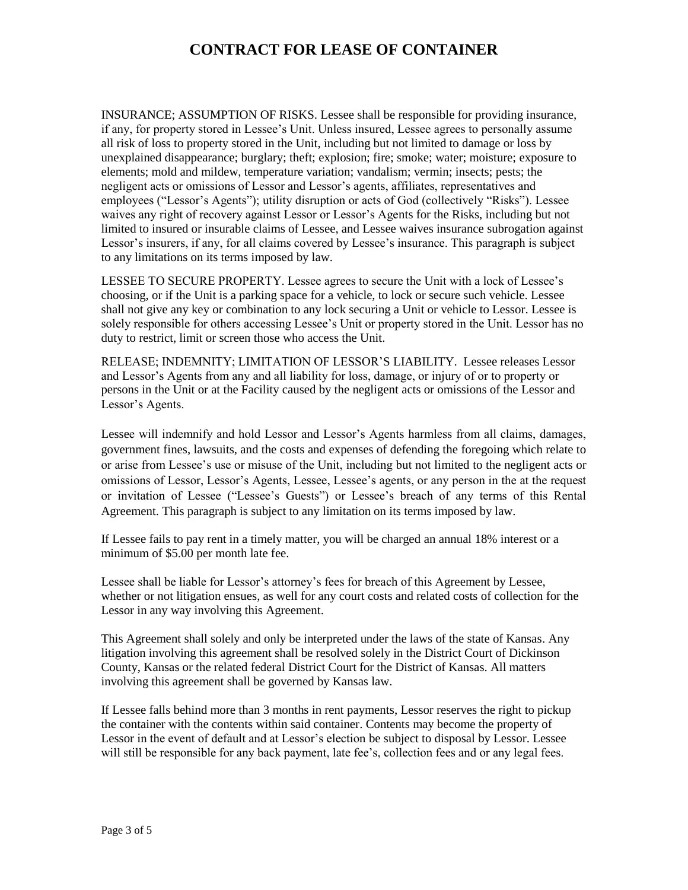INSURANCE; ASSUMPTION OF RISKS. Lessee shall be responsible for providing insurance, if any, for property stored in Lessee's Unit. Unless insured, Lessee agrees to personally assume all risk of loss to property stored in the Unit, including but not limited to damage or loss by unexplained disappearance; burglary; theft; explosion; fire; smoke; water; moisture; exposure to elements; mold and mildew, temperature variation; vandalism; vermin; insects; pests; the negligent acts or omissions of Lessor and Lessor's agents, affiliates, representatives and employees ("Lessor's Agents"); utility disruption or acts of God (collectively "Risks"). Lessee waives any right of recovery against Lessor or Lessor's Agents for the Risks, including but not limited to insured or insurable claims of Lessee, and Lessee waives insurance subrogation against Lessor's insurers, if any, for all claims covered by Lessee's insurance. This paragraph is subject to any limitations on its terms imposed by law.

LESSEE TO SECURE PROPERTY. Lessee agrees to secure the Unit with a lock of Lessee's choosing, or if the Unit is a parking space for a vehicle, to lock or secure such vehicle. Lessee shall not give any key or combination to any lock securing a Unit or vehicle to Lessor. Lessee is solely responsible for others accessing Lessee's Unit or property stored in the Unit. Lessor has no duty to restrict, limit or screen those who access the Unit.

RELEASE; INDEMNITY; LIMITATION OF LESSOR'S LIABILITY. Lessee releases Lessor and Lessor's Agents from any and all liability for loss, damage, or injury of or to property or persons in the Unit or at the Facility caused by the negligent acts or omissions of the Lessor and Lessor's Agents.

Lessee will indemnify and hold Lessor and Lessor's Agents harmless from all claims, damages, government fines, lawsuits, and the costs and expenses of defending the foregoing which relate to or arise from Lessee's use or misuse of the Unit, including but not limited to the negligent acts or omissions of Lessor, Lessor's Agents, Lessee, Lessee's agents, or any person in the at the request or invitation of Lessee ("Lessee's Guests") or Lessee's breach of any terms of this Rental Agreement. This paragraph is subject to any limitation on its terms imposed by law.

If Lessee fails to pay rent in a timely matter, you will be charged an annual 18% interest or a minimum of \$5.00 per month late fee.

Lessee shall be liable for Lessor's attorney's fees for breach of this Agreement by Lessee, whether or not litigation ensues, as well for any court costs and related costs of collection for the Lessor in any way involving this Agreement.

This Agreement shall solely and only be interpreted under the laws of the state of Kansas. Any litigation involving this agreement shall be resolved solely in the District Court of Dickinson County, Kansas or the related federal District Court for the District of Kansas. All matters involving this agreement shall be governed by Kansas law.

If Lessee falls behind more than 3 months in rent payments, Lessor reserves the right to pickup the container with the contents within said container. Contents may become the property of Lessor in the event of default and at Lessor's election be subject to disposal by Lessor. Lessee will still be responsible for any back payment, late fee's, collection fees and or any legal fees.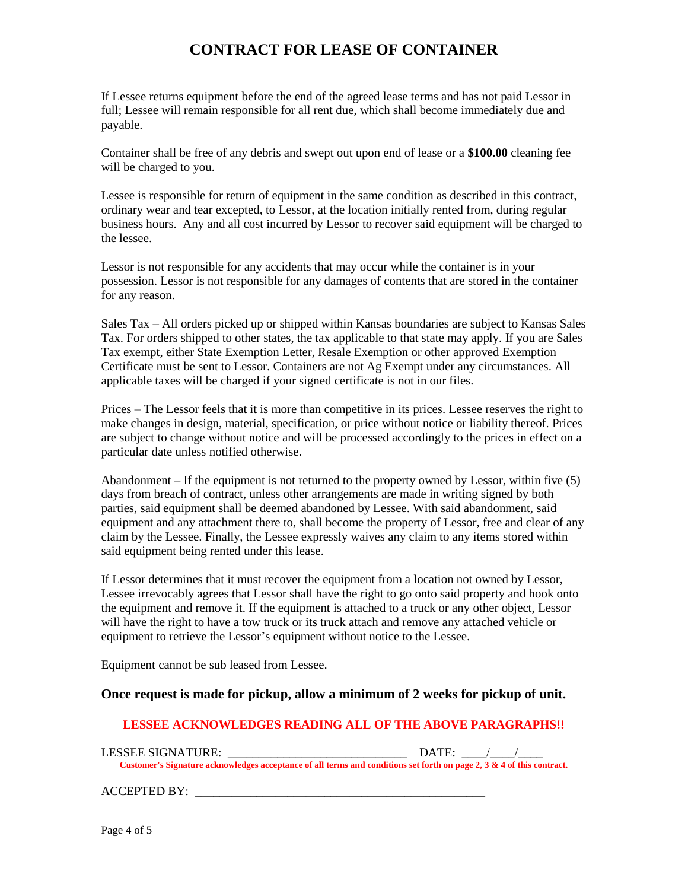If Lessee returns equipment before the end of the agreed lease terms and has not paid Lessor in full; Lessee will remain responsible for all rent due, which shall become immediately due and payable.

Container shall be free of any debris and swept out upon end of lease or a **\$100.00** cleaning fee will be charged to you.

Lessee is responsible for return of equipment in the same condition as described in this contract, ordinary wear and tear excepted, to Lessor, at the location initially rented from, during regular business hours. Any and all cost incurred by Lessor to recover said equipment will be charged to the lessee.

Lessor is not responsible for any accidents that may occur while the container is in your possession. Lessor is not responsible for any damages of contents that are stored in the container for any reason.

Sales Tax – All orders picked up or shipped within Kansas boundaries are subject to Kansas Sales Tax. For orders shipped to other states, the tax applicable to that state may apply. If you are Sales Tax exempt, either State Exemption Letter, Resale Exemption or other approved Exemption Certificate must be sent to Lessor. Containers are not Ag Exempt under any circumstances. All applicable taxes will be charged if your signed certificate is not in our files.

Prices – The Lessor feels that it is more than competitive in its prices. Lessee reserves the right to make changes in design, material, specification, or price without notice or liability thereof. Prices are subject to change without notice and will be processed accordingly to the prices in effect on a particular date unless notified otherwise.

Abandonment  $-$  If the equipment is not returned to the property owned by Lessor, within five  $(5)$ days from breach of contract, unless other arrangements are made in writing signed by both parties, said equipment shall be deemed abandoned by Lessee. With said abandonment, said equipment and any attachment there to, shall become the property of Lessor, free and clear of any claim by the Lessee. Finally, the Lessee expressly waives any claim to any items stored within said equipment being rented under this lease.

If Lessor determines that it must recover the equipment from a location not owned by Lessor, Lessee irrevocably agrees that Lessor shall have the right to go onto said property and hook onto the equipment and remove it. If the equipment is attached to a truck or any other object, Lessor will have the right to have a tow truck or its truck attach and remove any attached vehicle or equipment to retrieve the Lessor's equipment without notice to the Lessee.

Equipment cannot be sub leased from Lessee.

#### **Once request is made for pickup, allow a minimum of 2 weeks for pickup of unit.**

#### **LESSEE ACKNOWLEDGES READING ALL OF THE ABOVE PARAGRAPHS!!**

| LESSEE SIGNATURE:                                                                                                     | DATE: |
|-----------------------------------------------------------------------------------------------------------------------|-------|
| Customer's Signature acknowledges acceptance of all terms and conditions set forth on page 2, 3 & 4 of this contract. |       |

ACCEPTED BY: